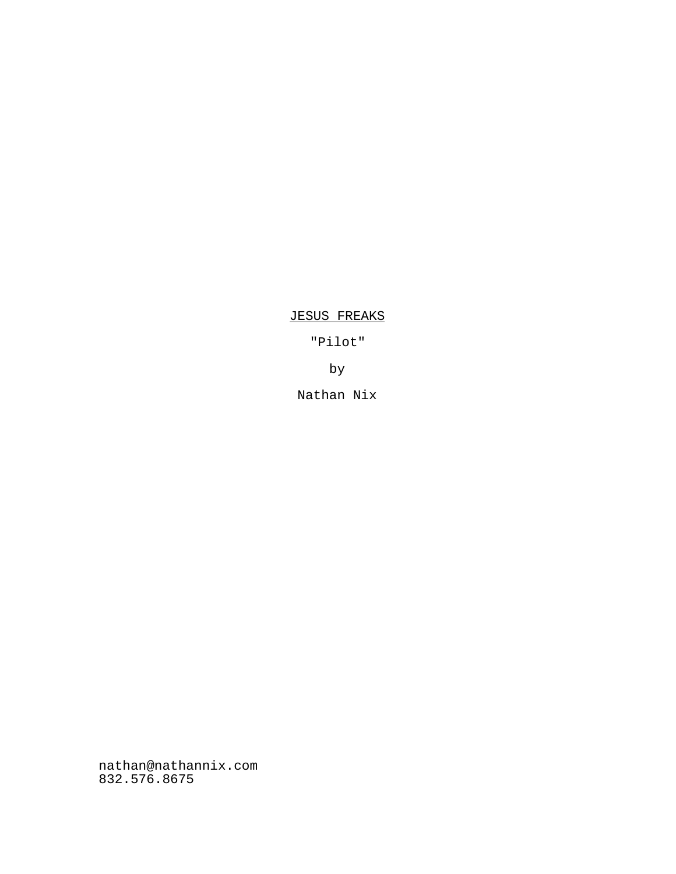JESUS FREAKS

"Pilot"

by

Nathan Nix

nathan@nathannix.com 832.576.8675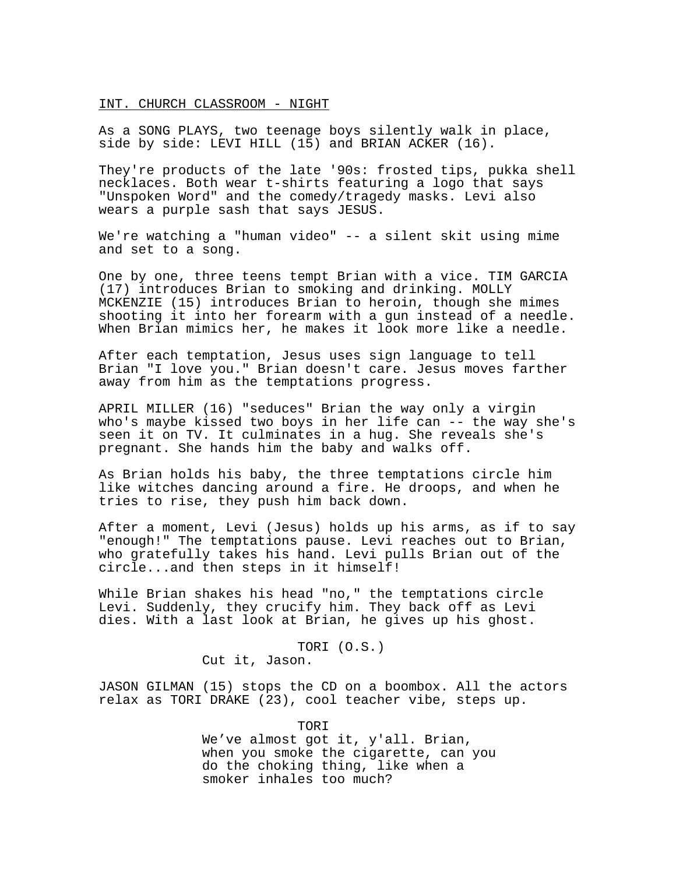### INT. CHURCH CLASSROOM - NIGHT

As a SONG PLAYS, two teenage boys silently walk in place, side by side: LEVI HILL (15) and BRIAN ACKER (16).

They're products of the late '90s: frosted tips, pukka shell necklaces. Both wear t-shirts featuring a logo that says "Unspoken Word" and the comedy/tragedy masks. Levi also wears a purple sash that says JESUS.

We're watching a "human video" -- a silent skit using mime and set to a song.

One by one, three teens tempt Brian with a vice. TIM GARCIA (17) introduces Brian to smoking and drinking. MOLLY MCKENZIE (15) introduces Brian to heroin, though she mimes shooting it into her forearm with a gun instead of a needle. When Brian mimics her, he makes it look more like a needle.

After each temptation, Jesus uses sign language to tell Brian "I love you." Brian doesn't care. Jesus moves farther away from him as the temptations progress.

APRIL MILLER (16) "seduces" Brian the way only a virgin who's maybe kissed two boys in her life can -- the way she's seen it on TV. It culminates in a hug. She reveals she's pregnant. She hands him the baby and walks off.

As Brian holds his baby, the three temptations circle him like witches dancing around a fire. He droops, and when he tries to rise, they push him back down.

After a moment, Levi (Jesus) holds up his arms, as if to say "enough!" The temptations pause. Levi reaches out to Brian, who gratefully takes his hand. Levi pulls Brian out of the circle...and then steps in it himself!

While Brian shakes his head "no," the temptations circle Levi. Suddenly, they crucify him. They back off as Levi dies. With a last look at Brian, he gives up his ghost.

> TORI (O.S.) Cut it, Jason.

JASON GILMAN (15) stops the CD on a boombox. All the actors relax as TORI DRAKE (23), cool teacher vibe, steps up.

TORI

We've almost got it, y'all. Brian, when you smoke the cigarette, can you do the choking thing, like when a smoker inhales too much?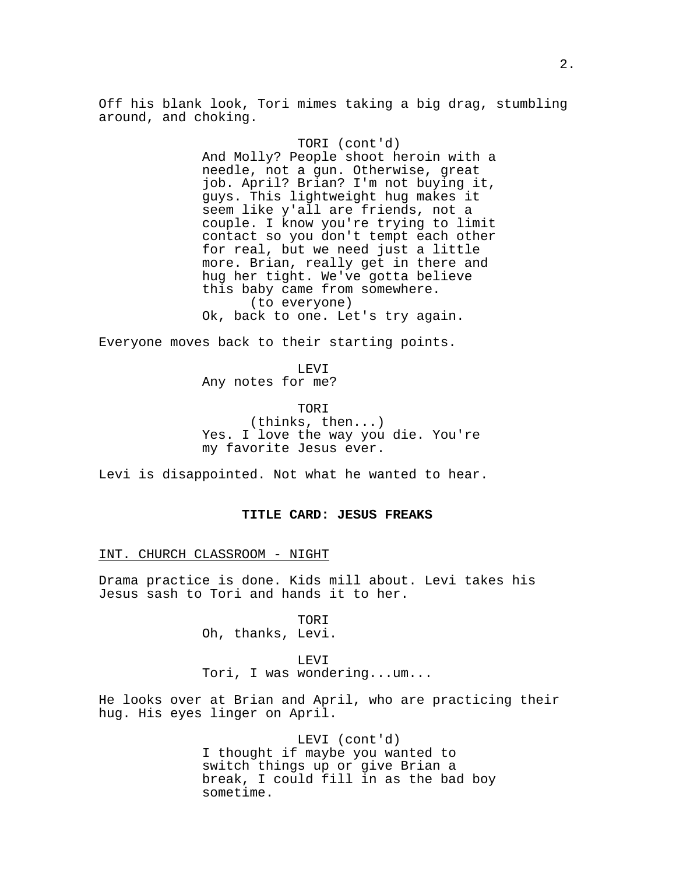Off his blank look, Tori mimes taking a big drag, stumbling around, and choking.

# TORI (cont'd)

And Molly? People shoot heroin with a needle, not a gun. Otherwise, great job. April? Brian? I'm not buying it, guys. This lightweight hug makes it seem like y'all are friends, not a couple. I know you're trying to limit contact so you don't tempt each other for real, but we need just a little more. Brian, really get in there and hug her tight. We've gotta believe this baby came from somewhere. (to everyone) Ok, back to one. Let's try again.

Everyone moves back to their starting points.

LEVI Any notes for me?

TORI (thinks, then...) Yes. I love the way you die. You're my favorite Jesus ever.

Levi is disappointed. Not what he wanted to hear.

## **TITLE CARD: JESUS FREAKS**

INT. CHURCH CLASSROOM - NIGHT

Drama practice is done. Kids mill about. Levi takes his Jesus sash to Tori and hands it to her.

> TORI Oh, thanks, Levi.

LEVI Tori, I was wondering...um...

He looks over at Brian and April, who are practicing their hug. His eyes linger on April.

> LEVI (cont'd) I thought if maybe you wanted to switch things up or give Brian a break, I could fill in as the bad boy sometime.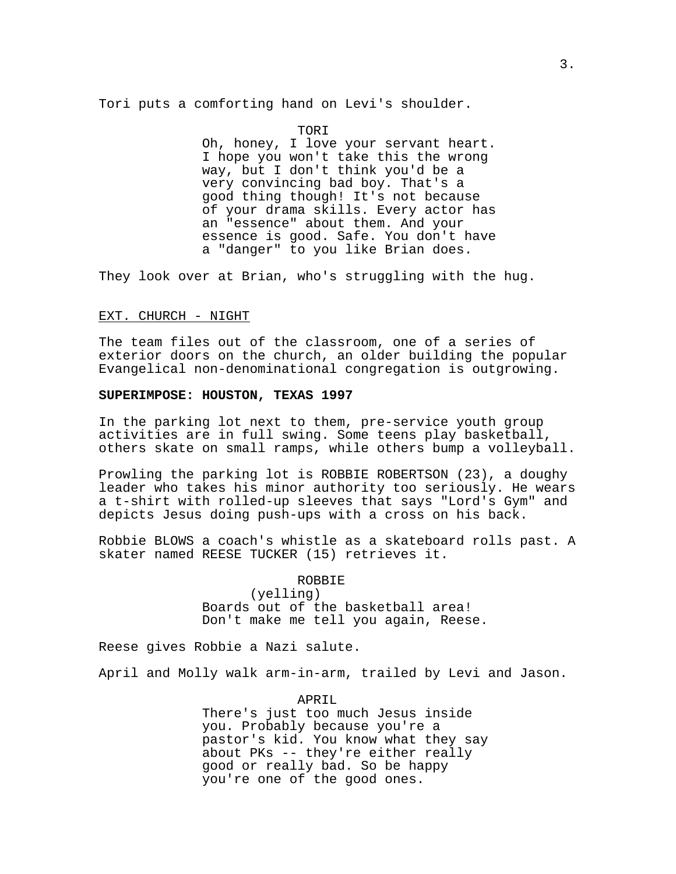Tori puts a comforting hand on Levi's shoulder.

#### TORI

Oh, honey, I love your servant heart. I hope you won't take this the wrong way, but I don't think you'd be a very convincing bad boy. That's a good thing though! It's not because of your drama skills. Every actor has an "essence" about them. And your essence is good. Safe. You don't have a "danger" to you like Brian does.

They look over at Brian, who's struggling with the hug.

### EXT. CHURCH - NIGHT

The team files out of the classroom, one of a series of exterior doors on the church, an older building the popular Evangelical non-denominational congregation is outgrowing.

# **SUPERIMPOSE: HOUSTON, TEXAS 1997**

In the parking lot next to them, pre-service youth group activities are in full swing. Some teens play basketball, others skate on small ramps, while others bump a volleyball.

Prowling the parking lot is ROBBIE ROBERTSON (23), a doughy leader who takes his minor authority too seriously. He wears a t-shirt with rolled-up sleeves that says "Lord's Gym" and depicts Jesus doing push-ups with a cross on his back.

Robbie BLOWS a coach's whistle as a skateboard rolls past. A skater named REESE TUCKER (15) retrieves it.

ROBBIE

(yelling) Boards out of the basketball area! Don't make me tell you again, Reese.

Reese gives Robbie a Nazi salute.

April and Molly walk arm-in-arm, trailed by Levi and Jason.

APRIL

There's just too much Jesus inside you. Probably because you're a pastor's kid. You know what they say about PKs -- they're either really good or really bad. So be happy you're one of the good ones.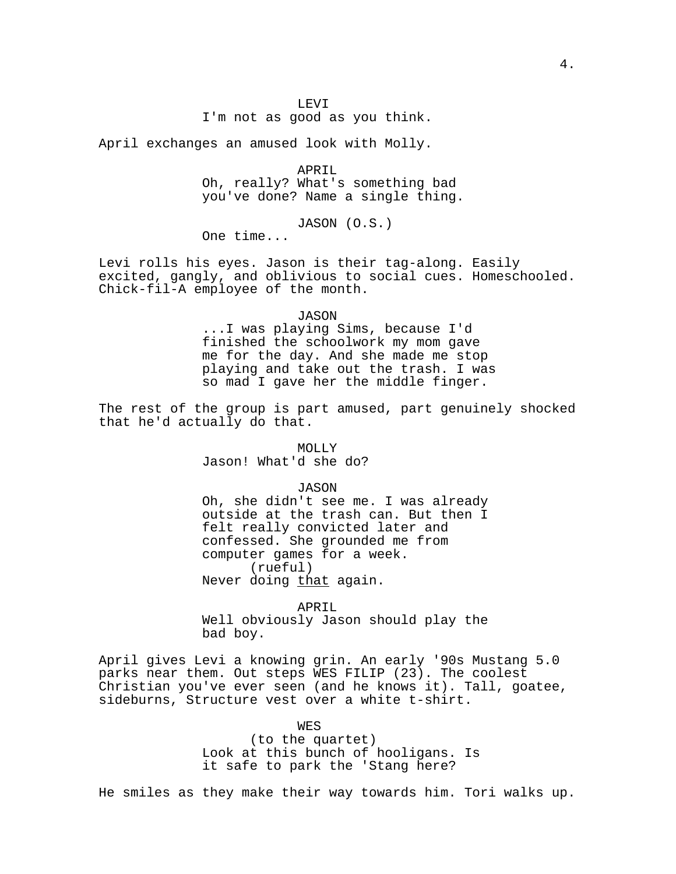April exchanges an amused look with Molly.

APRIL Oh, really? What's something bad you've done? Name a single thing.

JASON (O.S.)

One time...

Levi rolls his eyes. Jason is their tag-along. Easily excited, gangly, and oblivious to social cues. Homeschooled. Chick-fil-A employee of the month.

### JASON

...I was playing Sims, because I'd finished the schoolwork my mom gave me for the day. And she made me stop playing and take out the trash. I was so mad I gave her the middle finger.

The rest of the group is part amused, part genuinely shocked that he'd actually do that.

### MOLLY

Jason! What'd she do?

#### JASON

Oh, she didn't see me. I was already outside at the trash can. But then I felt really convicted later and confessed. She grounded me from computer games for a week. (rueful) Never doing that again.

APRIL Well obviously Jason should play the bad boy.

April gives Levi a knowing grin. An early '90s Mustang 5.0 parks near them. Out steps WES FILIP (23). The coolest Christian you've ever seen (and he knows it). Tall, goatee, sideburns, Structure vest over a white t-shirt.

WES

(to the quartet) Look at this bunch of hooligans. Is it safe to park the 'Stang here?

He smiles as they make their way towards him. Tori walks up.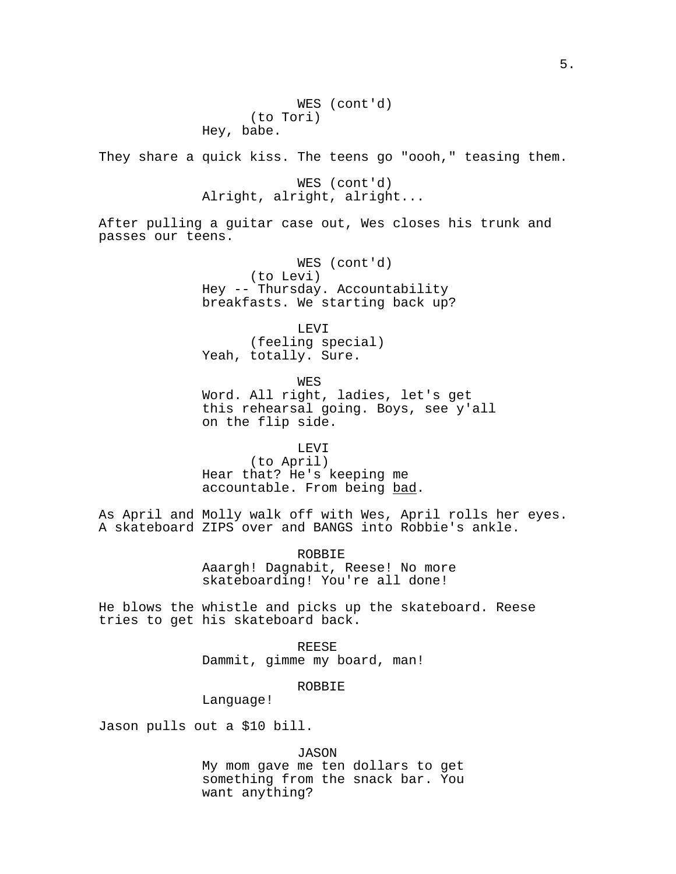WES (cont'd) (to Tori) Hey, babe.

They share a quick kiss. The teens go "oooh," teasing them.

WES (cont'd) Alright, alright, alright...

After pulling a guitar case out, Wes closes his trunk and passes our teens.

> WES (cont'd) (to Levi) Hey -- Thursday. Accountability breakfasts. We starting back up?

LEVI (feeling special) Yeah, totally. Sure.

WES

Word. All right, ladies, let's get this rehearsal going. Boys, see y'all on the flip side.

LEVI

(to April) Hear that? He's keeping me accountable. From being bad.

As April and Molly walk off with Wes, April rolls her eyes. A skateboard ZIPS over and BANGS into Robbie's ankle.

> ROBBIE Aaargh! Dagnabit, Reese! No more skateboarding! You're all done!

He blows the whistle and picks up the skateboard. Reese tries to get his skateboard back.

> REESE Dammit, gimme my board, man!

> > ROBBIE

Language!

Jason pulls out a \$10 bill.

JASON

My mom gave me ten dollars to get something from the snack bar. You want anything?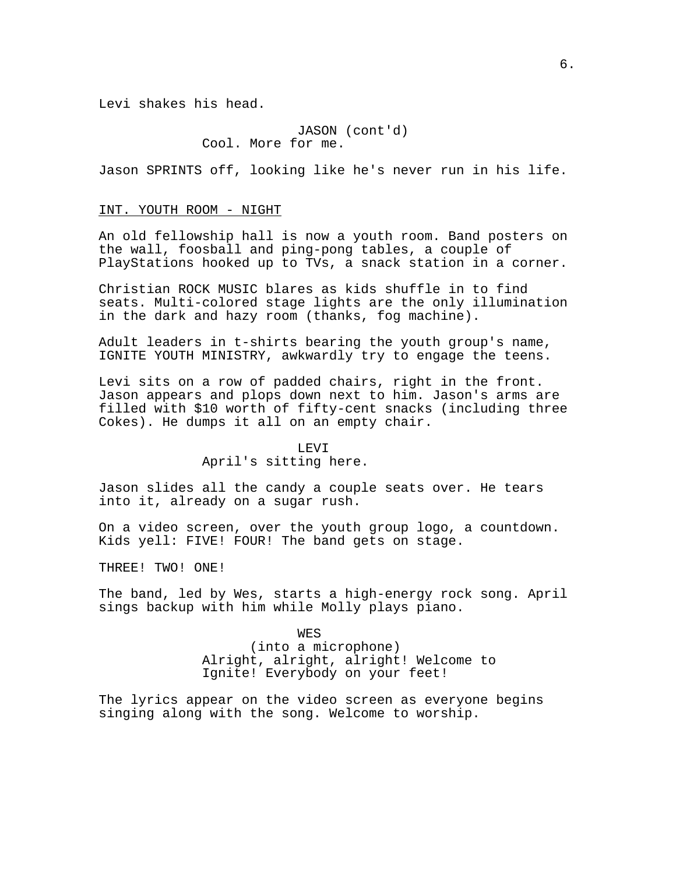Levi shakes his head.

JASON (cont'd) Cool. More for me.

Jason SPRINTS off, looking like he's never run in his life.

#### INT. YOUTH ROOM - NIGHT

An old fellowship hall is now a youth room. Band posters on the wall, foosball and ping-pong tables, a couple of PlayStations hooked up to TVs, a snack station in a corner.

Christian ROCK MUSIC blares as kids shuffle in to find seats. Multi-colored stage lights are the only illumination in the dark and hazy room (thanks, fog machine).

Adult leaders in t-shirts bearing the youth group's name, IGNITE YOUTH MINISTRY, awkwardly try to engage the teens.

Levi sits on a row of padded chairs, right in the front. Jason appears and plops down next to him. Jason's arms are filled with \$10 worth of fifty-cent snacks (including three Cokes). He dumps it all on an empty chair.

#### LEVI

### April's sitting here.

Jason slides all the candy a couple seats over. He tears into it, already on a sugar rush.

On a video screen, over the youth group logo, a countdown. Kids yell: FIVE! FOUR! The band gets on stage.

THREE! TWO! ONE!

The band, led by Wes, starts a high-energy rock song. April sings backup with him while Molly plays piano.

> WES (into a microphone) Alright, alright, alright! Welcome to Ignite! Everybody on your feet!

The lyrics appear on the video screen as everyone begins singing along with the song. Welcome to worship.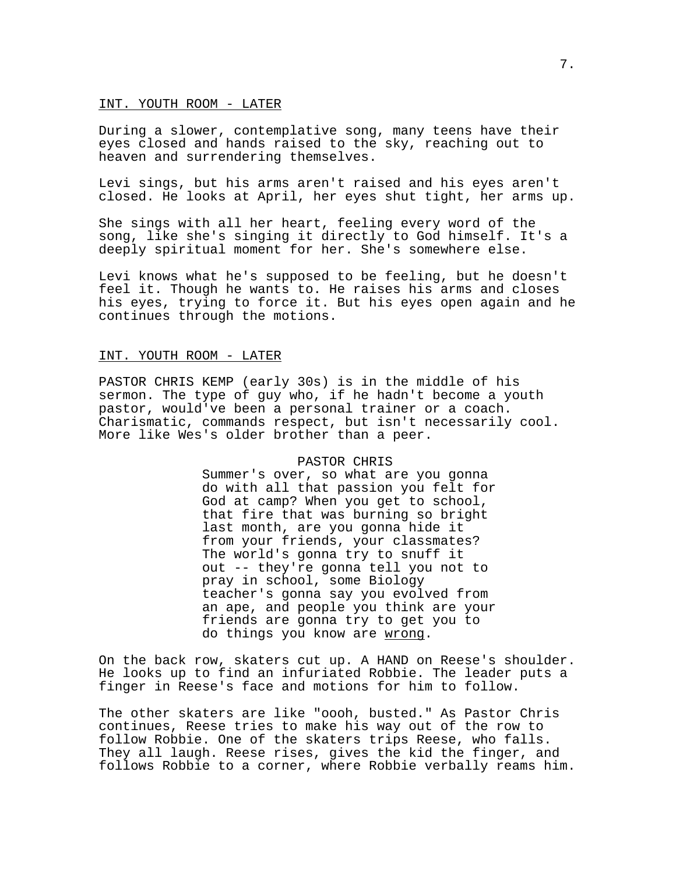#### INT. YOUTH ROOM - LATER

During a slower, contemplative song, many teens have their eyes closed and hands raised to the sky, reaching out to heaven and surrendering themselves.

Levi sings, but his arms aren't raised and his eyes aren't closed. He looks at April, her eyes shut tight, her arms up.

She sings with all her heart, feeling every word of the song, like she's singing it directly to God himself. It's a deeply spiritual moment for her. She's somewhere else.

Levi knows what he's supposed to be feeling, but he doesn't feel it. Though he wants to. He raises his arms and closes his eyes, trying to force it. But his eyes open again and he continues through the motions.

#### INT. YOUTH ROOM - LATER

PASTOR CHRIS KEMP (early 30s) is in the middle of his sermon. The type of guy who, if he hadn't become a youth pastor, would've been a personal trainer or a coach. Charismatic, commands respect, but isn't necessarily cool. More like Wes's older brother than a peer.

### PASTOR CHRIS

Summer's over, so what are you gonna do with all that passion you felt for God at camp? When you get to school, that fire that was burning so bright last month, are you gonna hide it from your friends, your classmates? The world's gonna try to snuff it out -- they're gonna tell you not to pray in school, some Biology teacher's gonna say you evolved from an ape, and people you think are your friends are gonna try to get you to do things you know are wrong.

On the back row, skaters cut up. A HAND on Reese's shoulder. He looks up to find an infuriated Robbie. The leader puts a finger in Reese's face and motions for him to follow.

The other skaters are like "oooh, busted." As Pastor Chris continues, Reese tries to make his way out of the row to follow Robbie. One of the skaters trips Reese, who falls. They all laugh. Reese rises, gives the kid the finger, and follows Robbie to a corner, where Robbie verbally reams him.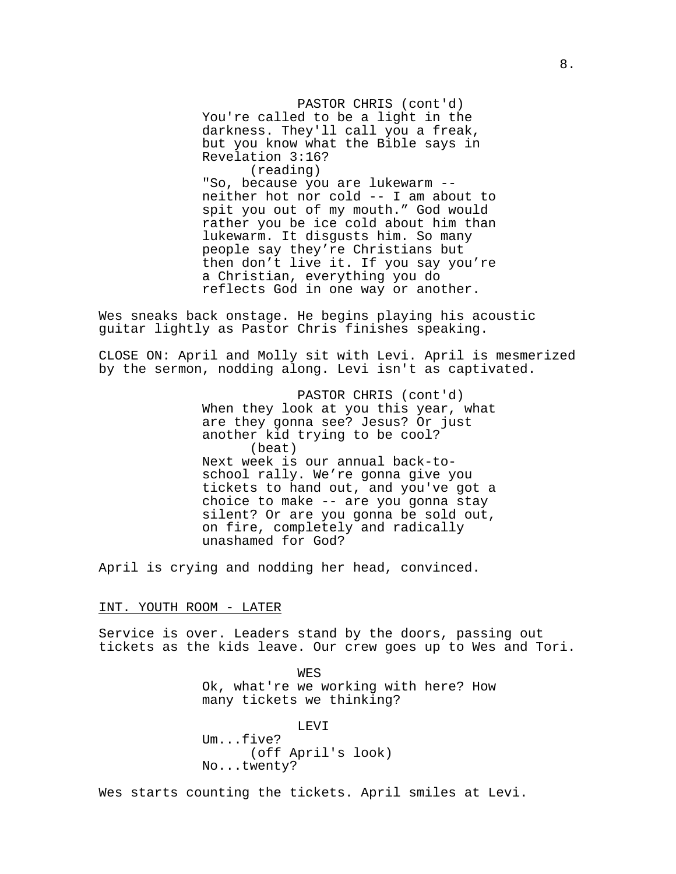PASTOR CHRIS (cont'd) You're called to be a light in the darkness. They'll call you a freak, but you know what the Bible says in Revelation 3:16? (reading)

"So, because you are lukewarm - neither hot nor cold -- I am about to spit you out of my mouth." God would rather you be ice cold about him than lukewarm. It disgusts him. So many people say they're Christians but then don't live it. If you say you're a Christian, everything you do reflects God in one way or another.

Wes sneaks back onstage. He begins playing his acoustic guitar lightly as Pastor Chris finishes speaking.

CLOSE ON: April and Molly sit with Levi. April is mesmerized by the sermon, nodding along. Levi isn't as captivated.

> PASTOR CHRIS (cont'd) When they look at you this year, what are they gonna see? Jesus? Or just another kid trying to be cool? (beat) Next week is our annual back-toschool rally. We're gonna give you tickets to hand out, and you've got a choice to make -- are you gonna stay silent? Or are you gonna be sold out, on fire, completely and radically unashamed for God?

April is crying and nodding her head, convinced.

#### INT. YOUTH ROOM - LATER

Service is over. Leaders stand by the doors, passing out tickets as the kids leave. Our crew goes up to Wes and Tori.

> WES Ok, what're we working with here? How many tickets we thinking?

LEVI Um...five? (off April's look) No...twenty?

Wes starts counting the tickets. April smiles at Levi.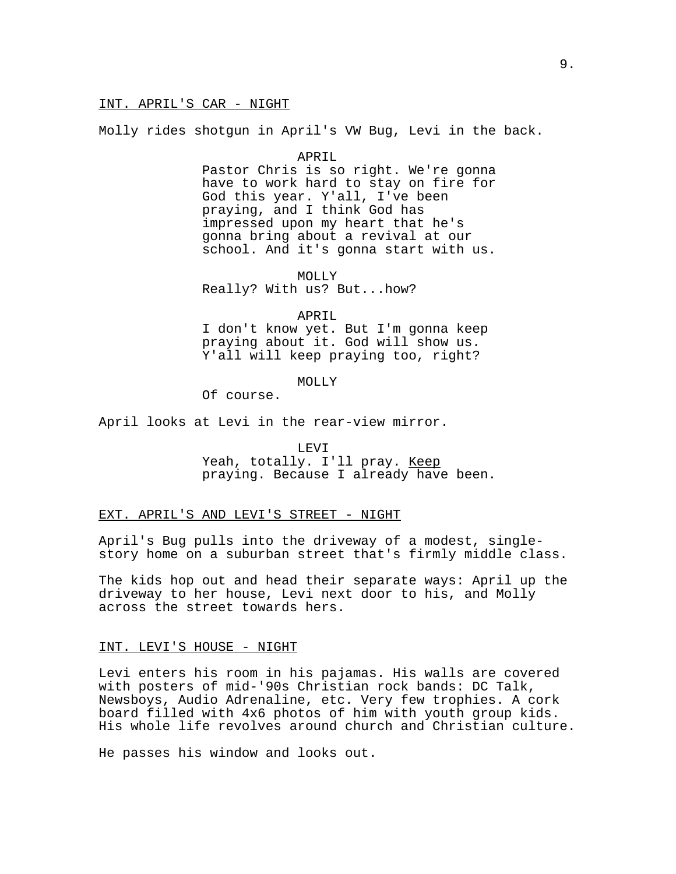Molly rides shotgun in April's VW Bug, Levi in the back.

#### APRIL

Pastor Chris is so right. We're gonna have to work hard to stay on fire for God this year. Y'all, I've been praying, and I think God has impressed upon my heart that he's gonna bring about a revival at our school. And it's gonna start with us.

MOLLY Really? With us? But...how?

## APRIL

I don't know yet. But I'm gonna keep praying about it. God will show us. Y'all will keep praying too, right?

# MOLLY

Of course.

April looks at Levi in the rear-view mirror.

### LEVI

Yeah, totally. I'll pray. Keep praying. Because I already have been.

# EXT. APRIL'S AND LEVI'S STREET - NIGHT

April's Bug pulls into the driveway of a modest, singlestory home on a suburban street that's firmly middle class.

The kids hop out and head their separate ways: April up the driveway to her house, Levi next door to his, and Molly across the street towards hers.

#### INT. LEVI'S HOUSE - NIGHT

Levi enters his room in his pajamas. His walls are covered with posters of mid-'90s Christian rock bands: DC Talk, Newsboys, Audio Adrenaline, etc. Very few trophies. A cork board filled with 4x6 photos of him with youth group kids. His whole life revolves around church and Christian culture.

He passes his window and looks out.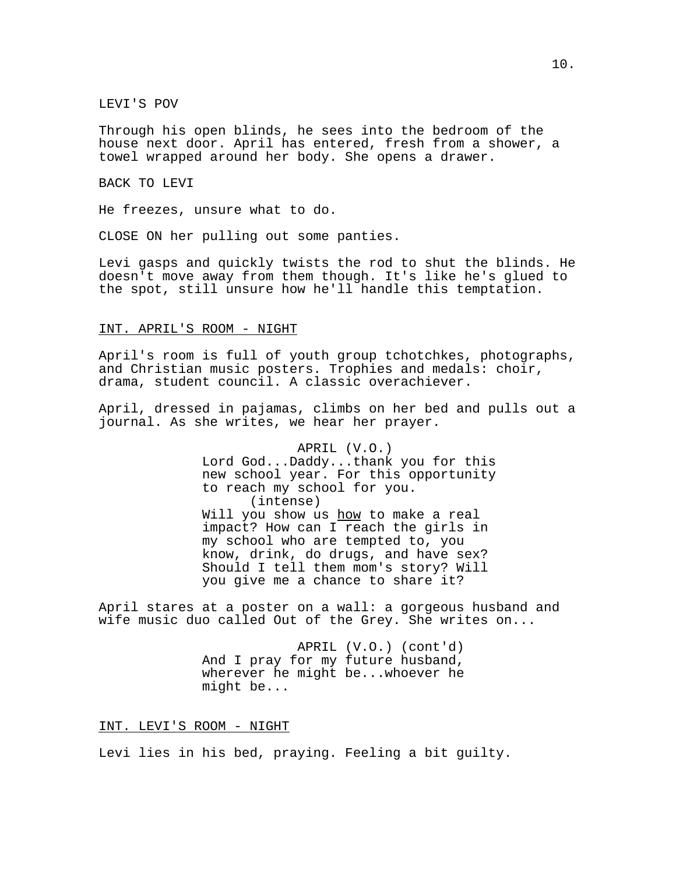LEVI'S POV

Through his open blinds, he sees into the bedroom of the house next door. April has entered, fresh from a shower, a towel wrapped around her body. She opens a drawer.

BACK TO LEVI

He freezes, unsure what to do.

CLOSE ON her pulling out some panties.

Levi gasps and quickly twists the rod to shut the blinds. He doesn't move away from them though. It's like he's glued to the spot, still unsure how he'll handle this temptation.

## INT. APRIL'S ROOM - NIGHT

April's room is full of youth group tchotchkes, photographs, and Christian music posters. Trophies and medals: choir, drama, student council. A classic overachiever.

April, dressed in pajamas, climbs on her bed and pulls out a journal. As she writes, we hear her prayer.

> APRIL (V.O.) Lord God...Daddy...thank you for this new school year. For this opportunity to reach my school for you. (intense) Will you show us how to make a real impact? How can I reach the girls in my school who are tempted to, you know, drink, do drugs, and have sex? Should I tell them mom's story? Will you give me a chance to share it?

April stares at a poster on a wall: a gorgeous husband and wife music duo called Out of the Grey. She writes on...

> APRIL (V.O.) (cont'd) And I pray for my future husband, wherever he might be...whoever he might be...

INT. LEVI'S ROOM - NIGHT

Levi lies in his bed, praying. Feeling a bit guilty.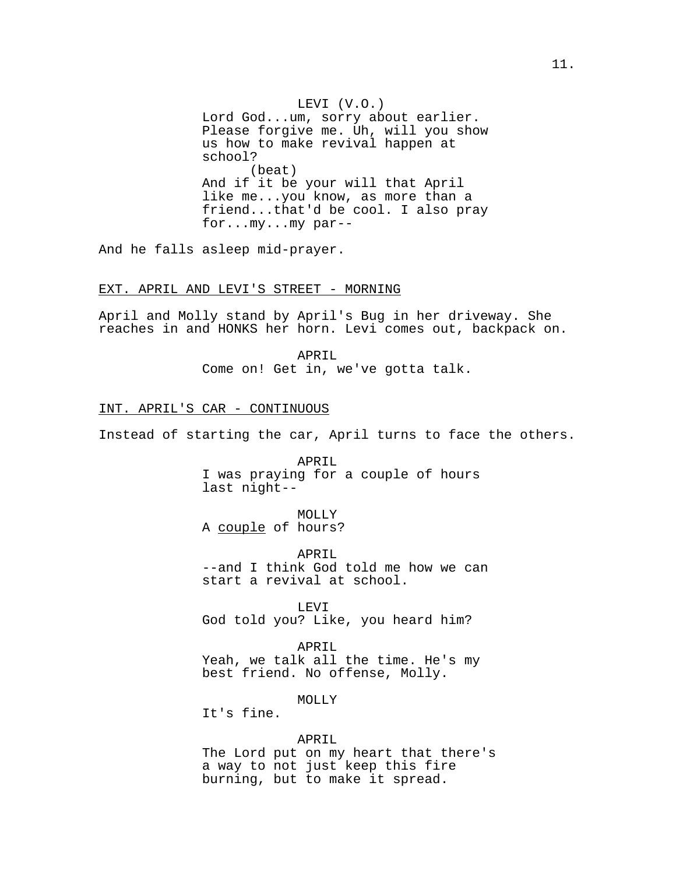LEVI (V.O.) Lord God...um, sorry about earlier. Please forgive me. Uh, will you show us how to make revival happen at school? (beat) And if it be your will that April like me...you know, as more than a friend...that'd be cool. I also pray for...my...my par--

And he falls asleep mid-prayer.

## EXT. APRIL AND LEVI'S STREET - MORNING

April and Molly stand by April's Bug in her driveway. She reaches in and HONKS her horn. Levi comes out, backpack on.

> APRIL Come on! Get in, we've gotta talk.

## INT. APRIL'S CAR - CONTINUOUS

Instead of starting the car, April turns to face the others.

APRIL I was praying for a couple of hours last night--

MOLLY A couple of hours?

APRIL --and I think God told me how we can start a revival at school.

LEVI God told you? Like, you heard him?

APRIL Yeah, we talk all the time. He's my best friend. No offense, Molly.

MOLLY

It's fine.

#### APRIL

The Lord put on my heart that there's a way to not just keep this fire burning, but to make it spread.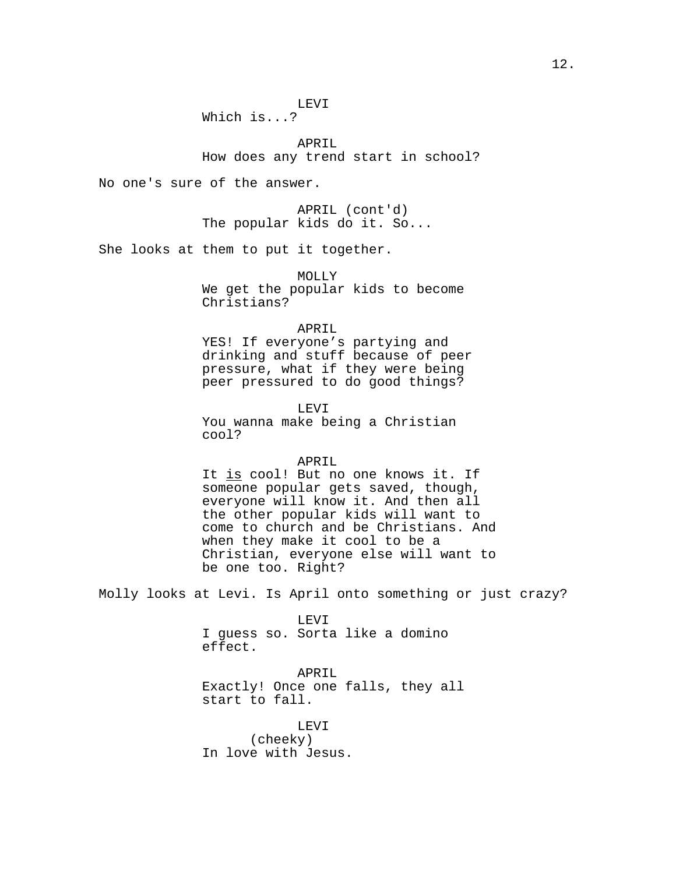Which is...?

APRIL How does any trend start in school?

No one's sure of the answer.

APRIL (cont'd) The popular kids do it. So...

She looks at them to put it together.

MOLLY We get the popular kids to become Christians?

### APRIL

YES! If everyone's partying and drinking and stuff because of peer pressure, what if they were being peer pressured to do good things?

LEVI You wanna make being a Christian cool?

# APRIL

It is cool! But no one knows it. If someone popular gets saved, though, everyone will know it. And then all the other popular kids will want to come to church and be Christians. And when they make it cool to be a Christian, everyone else will want to be one too. Right?

Molly looks at Levi. Is April onto something or just crazy?

LEVI I guess so. Sorta like a domino effect.

APRIL

Exactly! Once one falls, they all start to fall.

LEVI (cheeky) In love with Jesus.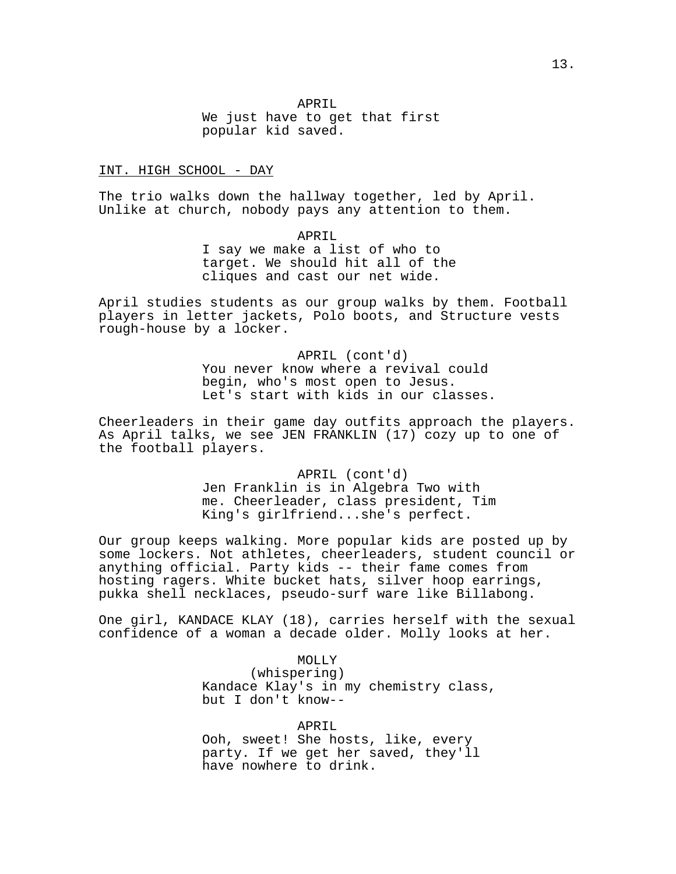We just have to get that first popular kid saved.

### INT. HIGH SCHOOL - DAY

The trio walks down the hallway together, led by April. Unlike at church, nobody pays any attention to them.

> APRIL I say we make a list of who to target. We should hit all of the cliques and cast our net wide.

April studies students as our group walks by them. Football players in letter jackets, Polo boots, and Structure vests rough-house by a locker.

> APRIL (cont'd) You never know where a revival could begin, who's most open to Jesus. Let's start with kids in our classes.

Cheerleaders in their game day outfits approach the players. As April talks, we see JEN FRANKLIN (17) cozy up to one of the football players.

> APRIL (cont'd) Jen Franklin is in Algebra Two with me. Cheerleader, class president, Tim King's girlfriend...she's perfect.

Our group keeps walking. More popular kids are posted up by some lockers. Not athletes, cheerleaders, student council or anything official. Party kids -- their fame comes from hosting ragers. White bucket hats, silver hoop earrings, pukka shell necklaces, pseudo-surf ware like Billabong.

One girl, KANDACE KLAY (18), carries herself with the sexual confidence of a woman a decade older. Molly looks at her.

> MOLLY (whispering) Kandace Klay's in my chemistry class, but I don't know--

APRIL Ooh, sweet! She hosts, like, every party. If we get her saved, they'll have nowhere to drink.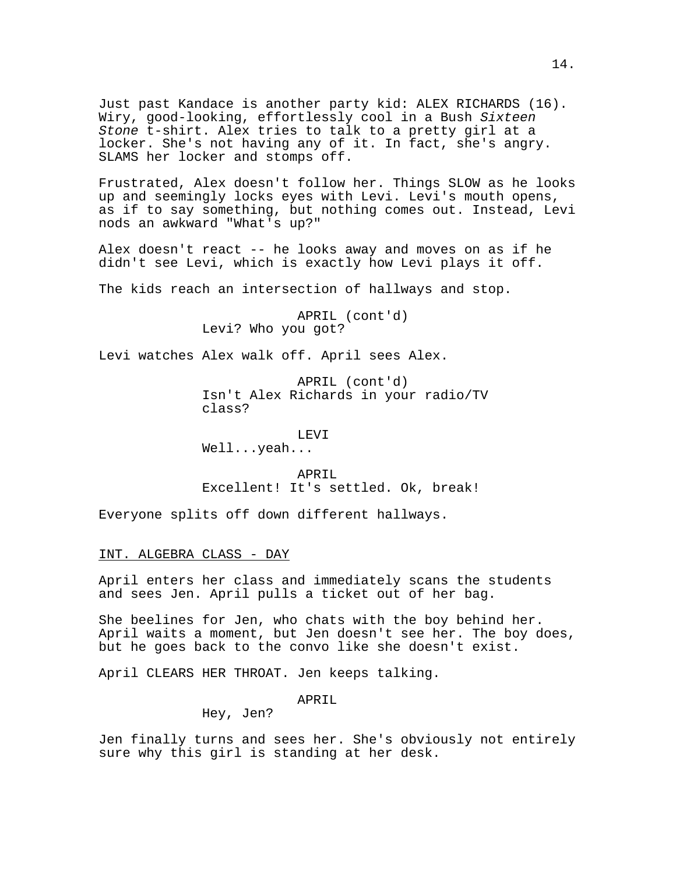Just past Kandace is another party kid: ALEX RICHARDS (16). Wiry, good-looking, effortlessly cool in a Bush Sixteen Stone t-shirt. Alex tries to talk to a pretty girl at a locker. She's not having any of it. In fact, she's angry. SLAMS her locker and stomps off.

Frustrated, Alex doesn't follow her. Things SLOW as he looks up and seemingly locks eyes with Levi. Levi's mouth opens, as if to say something, but nothing comes out. Instead, Levi nods an awkward "What's up?"

Alex doesn't react -- he looks away and moves on as if he didn't see Levi, which is exactly how Levi plays it off.

The kids reach an intersection of hallways and stop.

APRIL (cont'd) Levi? Who you got?

Levi watches Alex walk off. April sees Alex.

APRIL (cont'd) Isn't Alex Richards in your radio/TV class?

LEVI Well...yeah...

APRIL Excellent! It's settled. Ok, break!

Everyone splits off down different hallways.

## INT. ALGEBRA CLASS - DAY

April enters her class and immediately scans the students and sees Jen. April pulls a ticket out of her bag.

She beelines for Jen, who chats with the boy behind her. April waits a moment, but Jen doesn't see her. The boy does, but he goes back to the convo like she doesn't exist.

April CLEARS HER THROAT. Jen keeps talking.

# APRIL

Hey, Jen?

Jen finally turns and sees her. She's obviously not entirely sure why this girl is standing at her desk.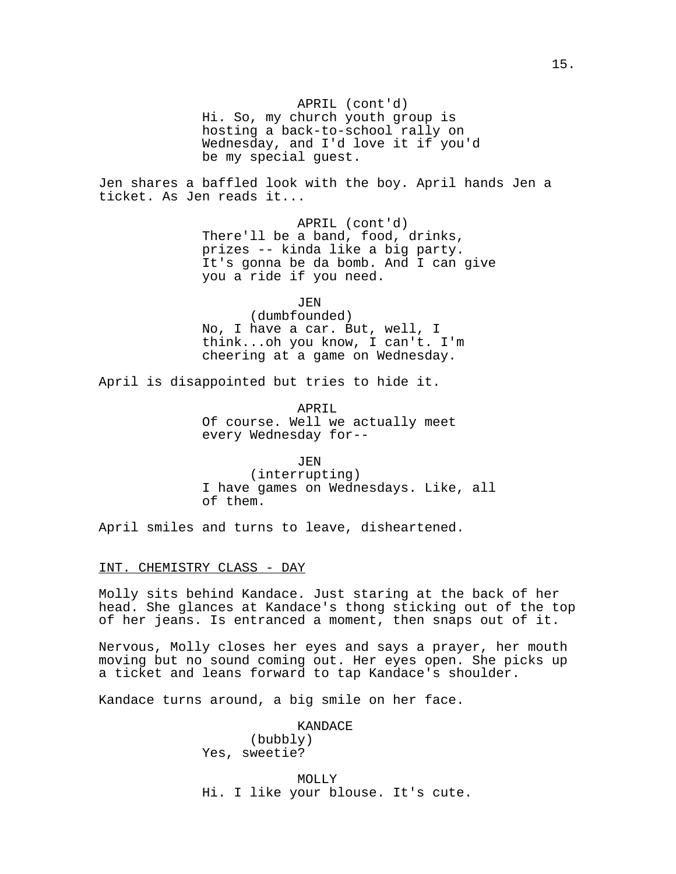Hi. So, my church youth group is hosting a back-to-school rally on Wednesday, and I'd love it if you'd be my special guest.

Jen shares a baffled look with the boy. April hands Jen a ticket. As Jen reads it...

> APRIL (cont'd) There'll be a band, food, drinks, prizes -- kinda like a big party. It's gonna be da bomb. And I can give you a ride if you need.

> > JEN

(dumbfounded) No, I have a car. But, well, I think...oh you know, I can't. I'm cheering at a game on Wednesday.

April is disappointed but tries to hide it.

APRIL Of course. Well we actually meet every Wednesday for--

JEN (interrupting) I have games on Wednesdays. Like, all of them.

April smiles and turns to leave, disheartened.

#### INT. CHEMISTRY CLASS - DAY

Molly sits behind Kandace. Just staring at the back of her head. She glances at Kandace's thong sticking out of the top of her jeans. Is entranced a moment, then snaps out of it.

Nervous, Molly closes her eyes and says a prayer, her mouth moving but no sound coming out. Her eyes open. She picks up a ticket and leans forward to tap Kandace's shoulder.

Kandace turns around, a big smile on her face.

KANDACE (bubbly) Yes, sweetie?

MOLLY Hi. I like your blouse. It's cute.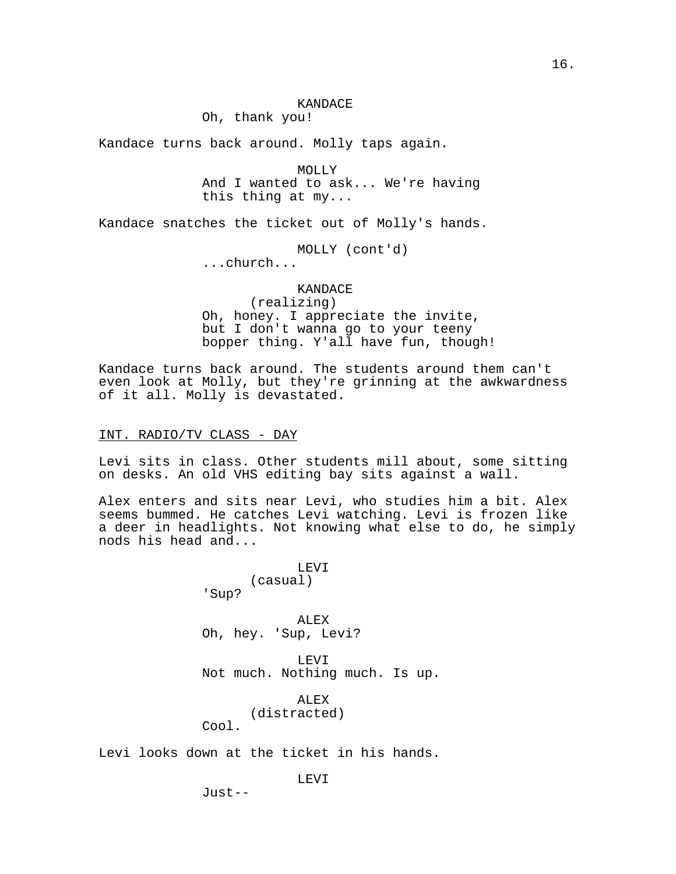Oh, thank you!

Kandace turns back around. Molly taps again.

MOLLY And I wanted to ask... We're having this thing at my...

Kandace snatches the ticket out of Molly's hands.

MOLLY (cont'd)

...church...

# KANDACE (realizing) Oh, honey. I appreciate the invite, but I don't wanna go to your teeny bopper thing. Y'all have fun, though!

Kandace turns back around. The students around them can't even look at Molly, but they're grinning at the awkwardness of it all. Molly is devastated.

INT. RADIO/TV CLASS - DAY

Levi sits in class. Other students mill about, some sitting on desks. An old VHS editing bay sits against a wall.

Alex enters and sits near Levi, who studies him a bit. Alex seems bummed. He catches Levi watching. Levi is frozen like a deer in headlights. Not knowing what else to do, he simply nods his head and...

> LEVI (casual) 'Sup?

ALEX Oh, hey. 'Sup, Levi?

LEVI Not much. Nothing much. Is up.

ALEX (distracted) Cool.

Levi looks down at the ticket in his hands.

LEVI

Just--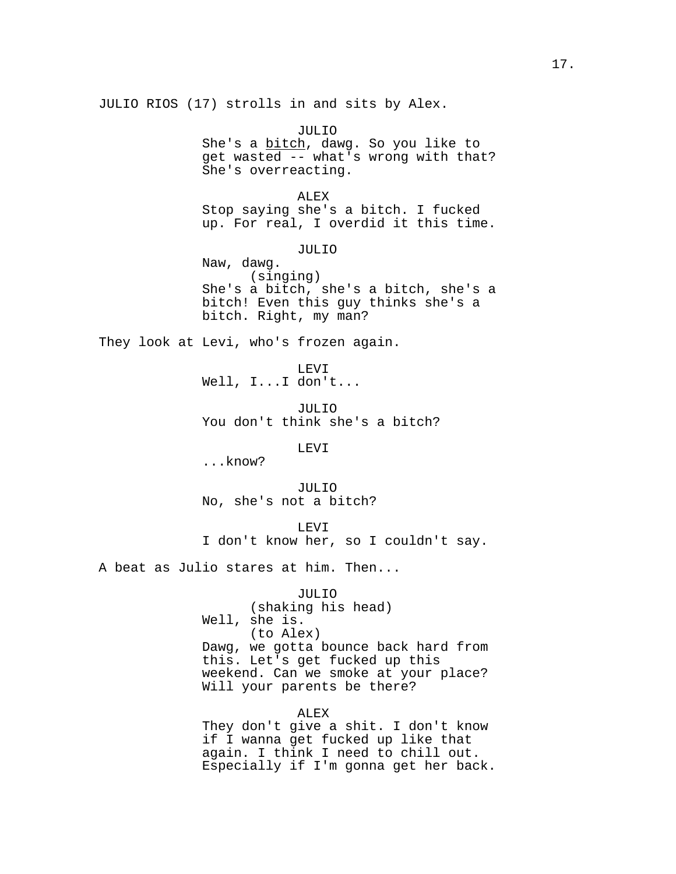JULIO RIOS (17) strolls in and sits by Alex.

JULIO She's a bitch, dawg. So you like to get wasted -- what's wrong with that? She's overreacting.

ALEX Stop saying she's a bitch. I fucked up. For real, I overdid it this time.

JULIO

Naw, dawg. (singing) She's a bitch, she's a bitch, she's a bitch! Even this guy thinks she's a bitch. Right, my man?

They look at Levi, who's frozen again.

LEVI Well, I...I don't...

JULIO You don't think she's a bitch?

LEVI

...know?

JULIO No, she's not a bitch?

LEVI I don't know her, so I couldn't say.

A beat as Julio stares at him. Then...

JULIO

(shaking his head) Well, she is. (to Alex) Dawg, we gotta bounce back hard from this. Let's get fucked up this weekend. Can we smoke at your place? Will your parents be there?

ALEX

They don't give a shit. I don't know if I wanna get fucked up like that again. I think I need to chill out. Especially if I'm gonna get her back.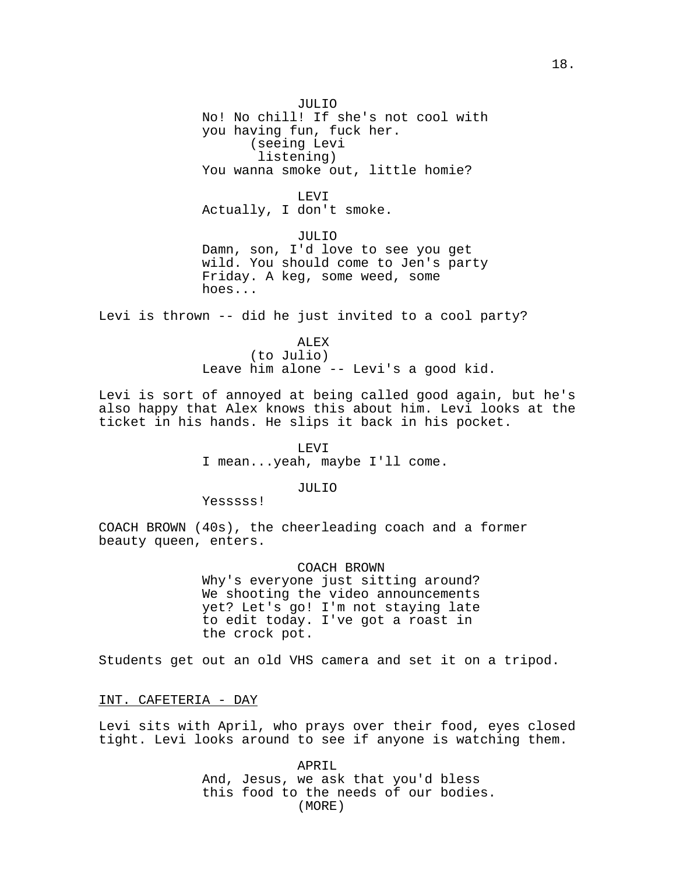JULIO No! No chill! If she's not cool with you having fun, fuck her. (seeing Levi listening) You wanna smoke out, little homie?

## LEVI

Actually, I don't smoke.

JULIO Damn, son, I'd love to see you get wild. You should come to Jen's party Friday. A keg, some weed, some hoes...

Levi is thrown -- did he just invited to a cool party?

### ALEX

(to Julio) Leave him alone -- Levi's a good kid.

Levi is sort of annoyed at being called good again, but he's also happy that Alex knows this about him. Levi looks at the ticket in his hands. He slips it back in his pocket.

> LEVI I mean...yeah, maybe I'll come.

## JULIO

Yesssss!

COACH BROWN (40s), the cheerleading coach and a former beauty queen, enters.

> COACH BROWN Why's everyone just sitting around? We shooting the video announcements yet? Let's go! I'm not staying late to edit today. I've got a roast in the crock pot.

Students get out an old VHS camera and set it on a tripod.

INT. CAFETERIA - DAY

Levi sits with April, who prays over their food, eyes closed tight. Levi looks around to see if anyone is watching them.

> APRIL And, Jesus, we ask that you'd bless this food to the needs of our bodies. (MORE)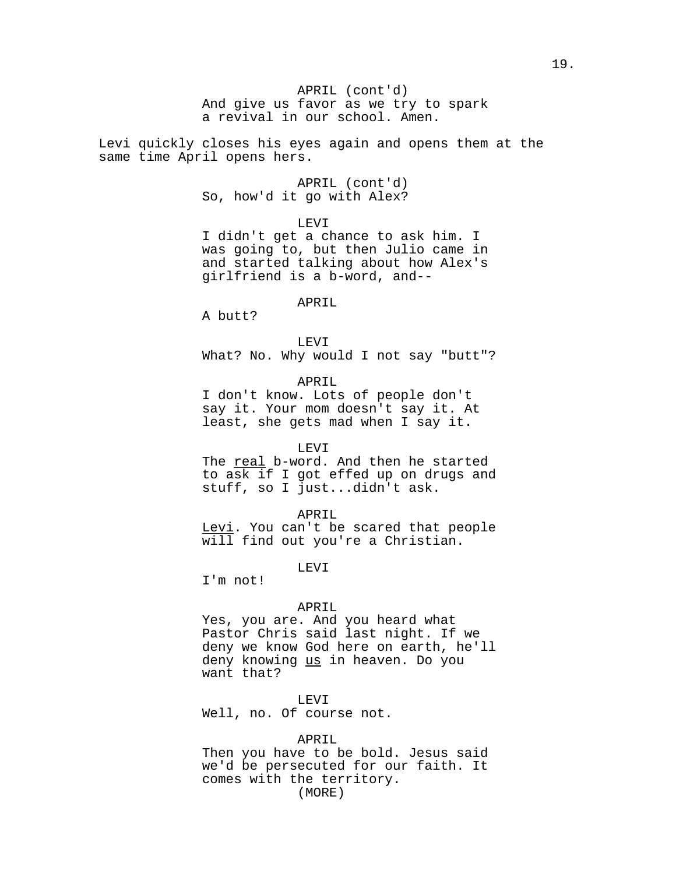# And give us favor as we try to spark APRIL (cont'd) a revival in our school. Amen.

Levi quickly closes his eyes again and opens them at the same time April opens hers.

> APRIL (cont'd) So, how'd it go with Alex?

> > LEVI

I didn't get a chance to ask him. I was going to, but then Julio came in and started talking about how Alex's girlfriend is a b-word, and--

### APRIL

A butt?

LEVI

What? No. Why would I not say "butt"?

# APRIL

I don't know. Lots of people don't say it. Your mom doesn't say it. At least, she gets mad when I say it.

### LEVI

The real b-word. And then he started to ask if I got effed up on drugs and stuff, so I just...didn't ask.

APRIL

Levi. You can't be scared that people will find out you're a Christian.

LEVI

I'm not!

#### APRIL

Yes, you are. And you heard what Pastor Chris said last night. If we deny we know God here on earth, he'll deny knowing us in heaven. Do you want that?

## LEVI

Well, no. Of course not.

#### APRIL

Then you have to be bold. Jesus said we'd be persecuted for our faith. It comes with the territory. (MORE)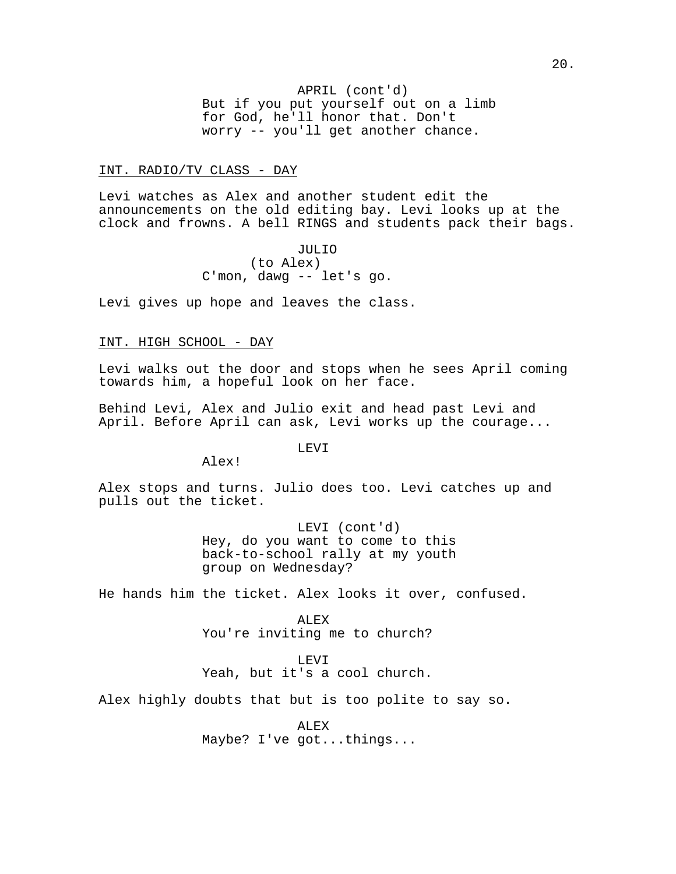But if you put yourself out on a limb APRIL (cont'd) for God, he'll honor that. Don't worry -- you'll get another chance.

## INT. RADIO/TV CLASS - DAY

Levi watches as Alex and another student edit the announcements on the old editing bay. Levi looks up at the clock and frowns. A bell RINGS and students pack their bags.

> JULIO (to Alex) C'mon, dawg -- let's go.

Levi gives up hope and leaves the class.

## INT. HIGH SCHOOL - DAY

Levi walks out the door and stops when he sees April coming towards him, a hopeful look on her face.

Behind Levi, Alex and Julio exit and head past Levi and April. Before April can ask, Levi works up the courage...

LEVI

Alex!

Alex stops and turns. Julio does too. Levi catches up and pulls out the ticket.

> LEVI (cont'd) Hey, do you want to come to this back-to-school rally at my youth group on Wednesday?

He hands him the ticket. Alex looks it over, confused.

ALEX You're inviting me to church?

LEVI

Yeah, but it's a cool church.

Alex highly doubts that but is too polite to say so.

ALEX Maybe? I've got...things...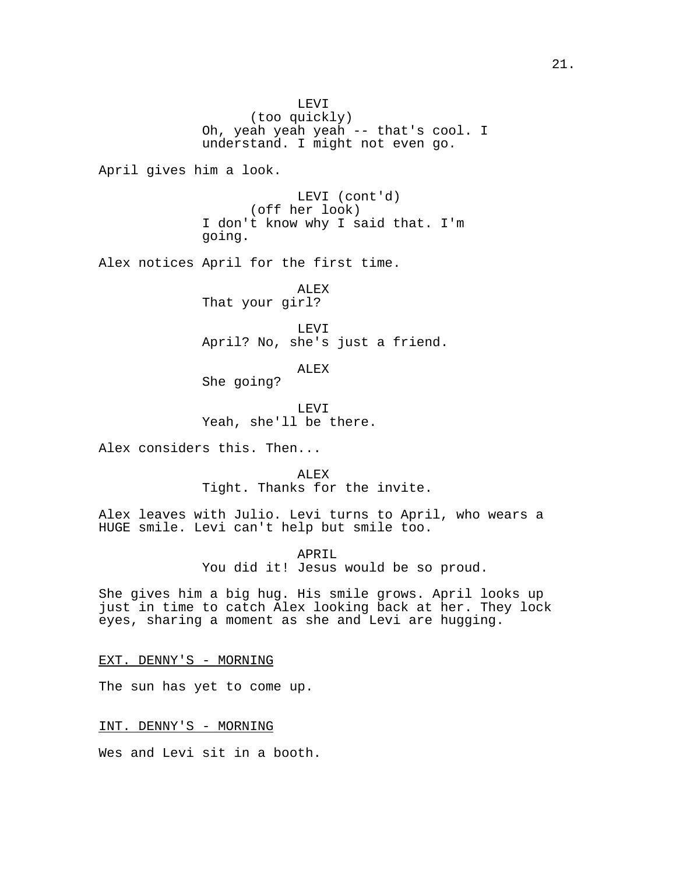LEVI (too quickly) Oh, yeah yeah yeah -- that's cool. I understand. I might not even go. April gives him a look. LEVI (cont'd) (off her look) I don't know why I said that. I'm going. Alex notices April for the first time. ALEX That your girl? LEVI April? No, she's just a friend. ALEX She going? LEVI Yeah, she'll be there. Alex considers this. Then... ALEX Tight. Thanks for the invite. Alex leaves with Julio. Levi turns to April, who wears a HUGE smile. Levi can't help but smile too. APRIL You did it! Jesus would be so proud. She gives him a big hug. His smile grows. April looks up just in time to catch Alex looking back at her. They lock eyes, sharing a moment as she and Levi are hugging.

EXT. DENNY'S - MORNING

The sun has yet to come up.

INT. DENNY'S - MORNING

Wes and Levi sit in a booth.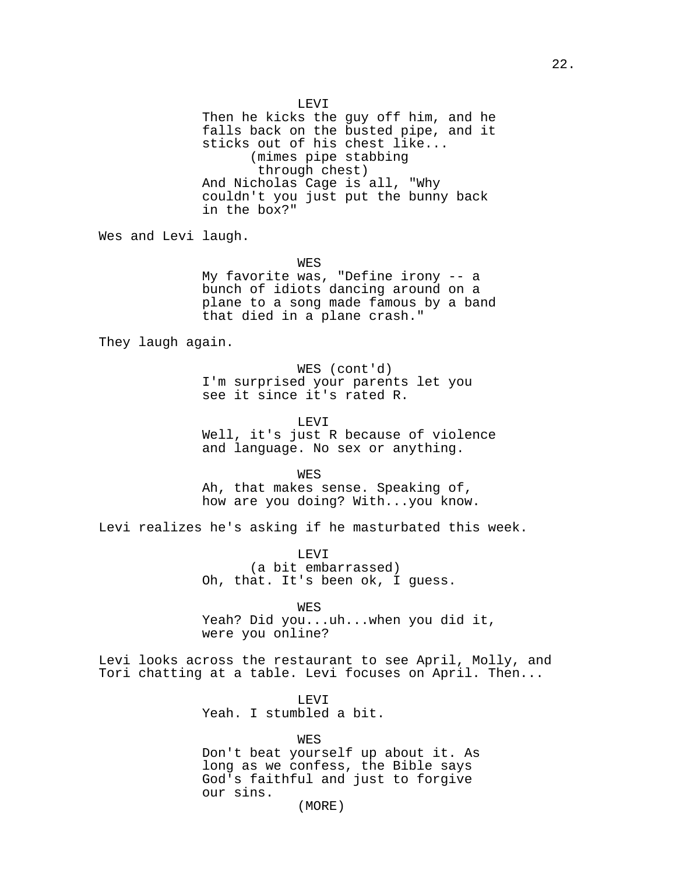LEVI Then he kicks the guy off him, and he falls back on the busted pipe, and it sticks out of his chest like... (mimes pipe stabbing through chest) And Nicholas Cage is all, "Why couldn't you just put the bunny back in the box?" Wes and Levi laugh. WES My favorite was, "Define irony -- a bunch of idiots dancing around on a plane to a song made famous by a band that died in a plane crash." They laugh again. WES (cont'd) I'm surprised your parents let you see it since it's rated R. LEVI Well, it's just R because of violence and language. No sex or anything. WES Ah, that makes sense. Speaking of, how are you doing? With...you know. Levi realizes he's asking if he masturbated this week. LEVI (a bit embarrassed) Oh, that. It's been ok, I guess. WES Yeah? Did you...uh...when you did it, were you online? Levi looks across the restaurant to see April, Molly, and Tori chatting at a table. Levi focuses on April. Then... LEVI

Yeah. I stumbled a bit.

WES

Don't beat yourself up about it. As long as we confess, the Bible says God's faithful and just to forgive our sins.

(MORE)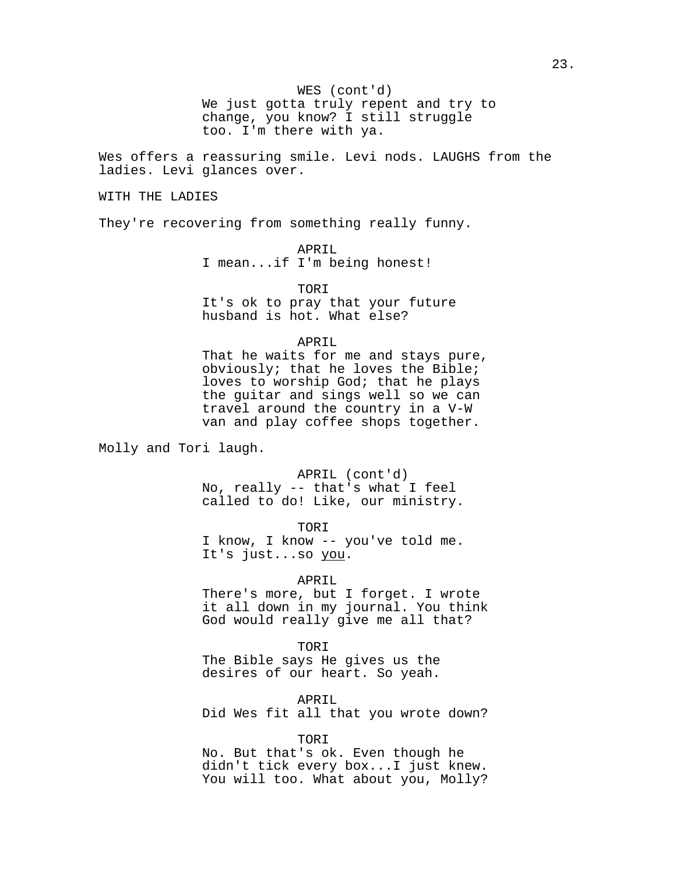WES (cont'd)

We just gotta truly repent and try to change, you know? I still struggle too. I'm there with ya.

Wes offers a reassuring smile. Levi nods. LAUGHS from the ladies. Levi glances over.

WITH THE LADIES

They're recovering from something really funny.

APRIL

I mean...if I'm being honest!

TORI

It's ok to pray that your future husband is hot. What else?

APRIL

That he waits for me and stays pure, obviously; that he loves the Bible; loves to worship God; that he plays the guitar and sings well so we can travel around the country in a V-W van and play coffee shops together.

Molly and Tori laugh.

APRIL (cont'd) No, really -- that's what I feel called to do! Like, our ministry.

TORI

I know, I know -- you've told me. It's just...so you.

APRIL

There's more, but I forget. I wrote it all down in my journal. You think God would really give me all that?

TORI

The Bible says He gives us the desires of our heart. So yeah.

APRIL

Did Wes fit all that you wrote down?

TORI

No. But that's ok. Even though he didn't tick every box...I just knew. You will too. What about you, Molly?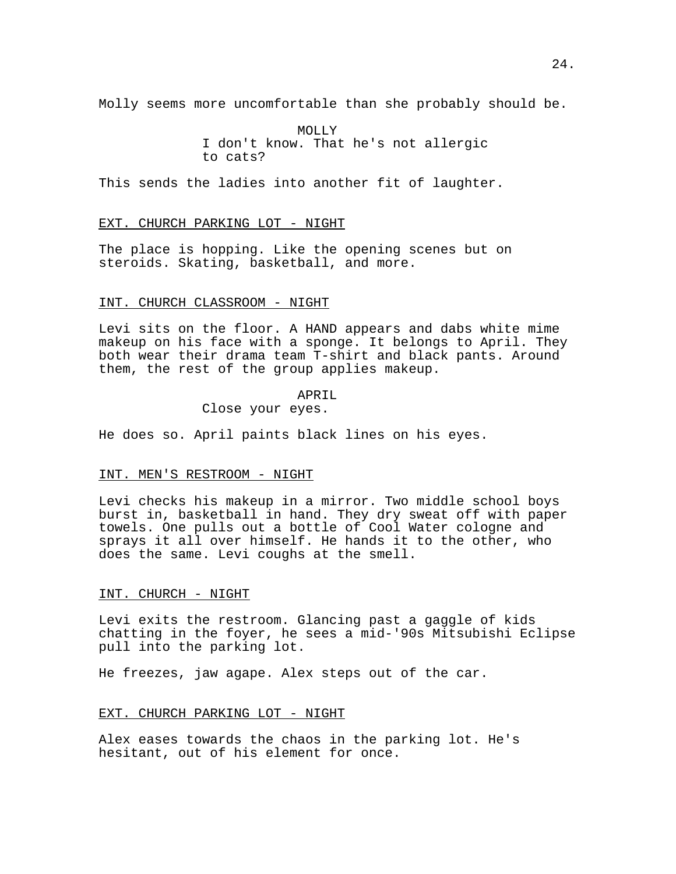Molly seems more uncomfortable than she probably should be.

MOLLY I don't know. That he's not allergic to cats?

This sends the ladies into another fit of laughter.

#### EXT. CHURCH PARKING LOT - NIGHT

The place is hopping. Like the opening scenes but on steroids. Skating, basketball, and more.

## INT. CHURCH CLASSROOM - NIGHT

Levi sits on the floor. A HAND appears and dabs white mime makeup on his face with a sponge. It belongs to April. They both wear their drama team T-shirt and black pants. Around them, the rest of the group applies makeup.

#### APRIL

# Close your eyes.

He does so. April paints black lines on his eyes.

### INT. MEN'S RESTROOM - NIGHT

Levi checks his makeup in a mirror. Two middle school boys burst in, basketball in hand. They dry sweat off with paper towels. One pulls out a bottle of Cool Water cologne and sprays it all over himself. He hands it to the other, who does the same. Levi coughs at the smell.

## INT. CHURCH - NIGHT

Levi exits the restroom. Glancing past a gaggle of kids chatting in the foyer, he sees a mid-'90s Mitsubishi Eclipse pull into the parking lot.

He freezes, jaw agape. Alex steps out of the car.

#### EXT. CHURCH PARKING LOT - NIGHT

Alex eases towards the chaos in the parking lot. He's hesitant, out of his element for once.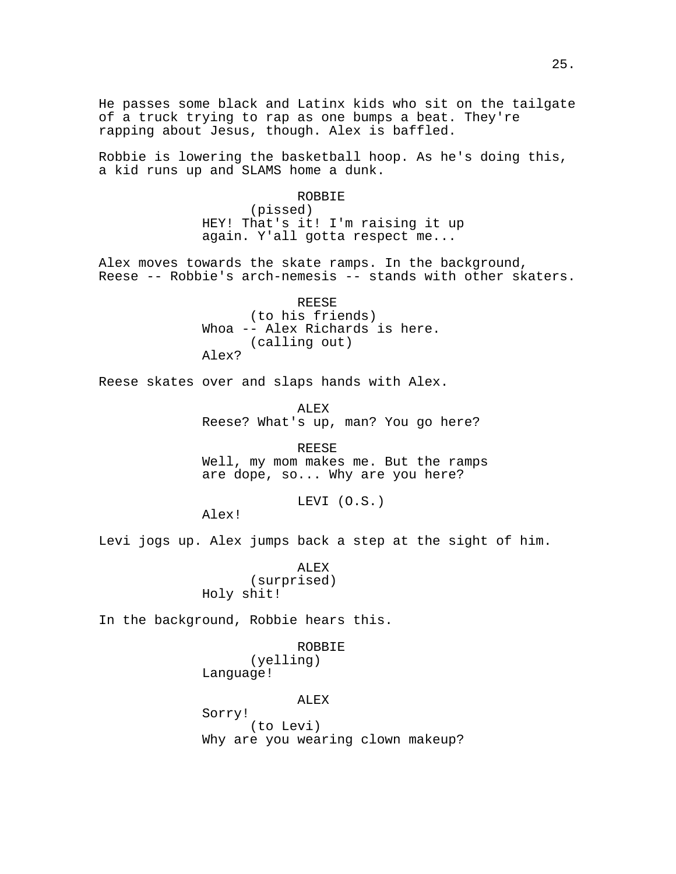He passes some black and Latinx kids who sit on the tailgate of a truck trying to rap as one bumps a beat. They're rapping about Jesus, though. Alex is baffled.

Robbie is lowering the basketball hoop. As he's doing this, a kid runs up and SLAMS home a dunk.

## ROBBIE

(pissed) HEY! That's it! I'm raising it up again. Y'all gotta respect me...

Alex moves towards the skate ramps. In the background, Reese -- Robbie's arch-nemesis -- stands with other skaters.

> REESE (to his friends) Whoa -- Alex Richards is here. (calling out) Alex?

Reese skates over and slaps hands with Alex.

ALEX Reese? What's up, man? You go here?

REESE Well, my mom makes me. But the ramps are dope, so... Why are you here?

LEVI (O.S.)

Alex!

Levi jogs up. Alex jumps back a step at the sight of him.

ALEX (surprised) Holy shit!

In the background, Robbie hears this.

ROBBIE (yelling) Language!

#### ALEX

Sorry! (to Levi) Why are you wearing clown makeup?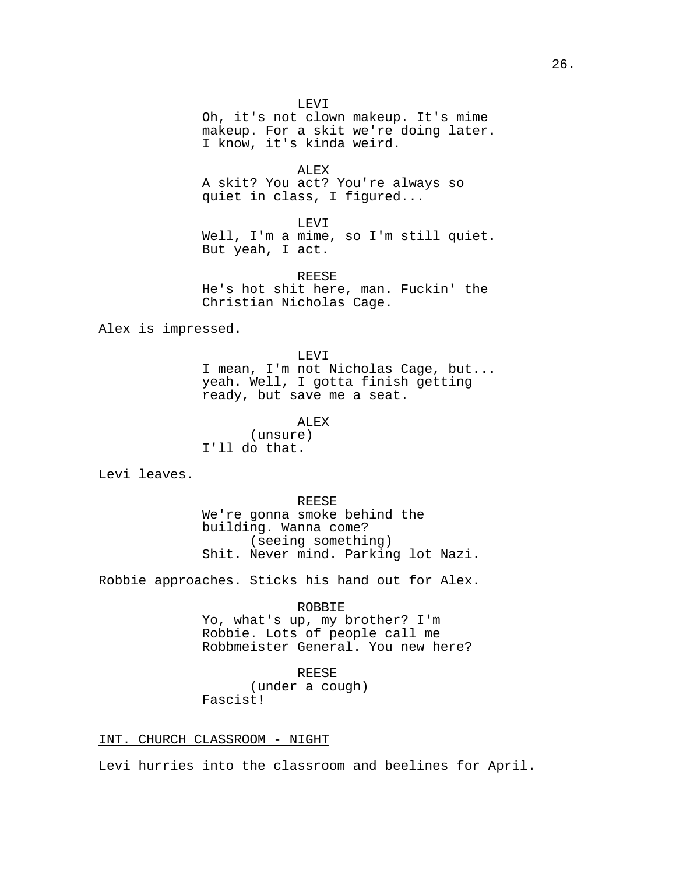LEVI Oh, it's not clown makeup. It's mime makeup. For a skit we're doing later. I know, it's kinda weird.

ALEX A skit? You act? You're always so quiet in class, I figured...

LEVI Well, I'm a mime, so I'm still quiet. But yeah, I act.

REESE He's hot shit here, man. Fuckin' the Christian Nicholas Cage.

Alex is impressed.

LEVI I mean, I'm not Nicholas Cage, but... yeah. Well, I gotta finish getting ready, but save me a seat.

ALEX

(unsure) I'll do that.

Levi leaves.

REESE We're gonna smoke behind the building. Wanna come? (seeing something) Shit. Never mind. Parking lot Nazi.

Robbie approaches. Sticks his hand out for Alex.

ROBBIE

Yo, what's up, my brother? I'm Robbie. Lots of people call me Robbmeister General. You new here?

## REESE

(under a cough) Fascist!

INT. CHURCH CLASSROOM - NIGHT

Levi hurries into the classroom and beelines for April.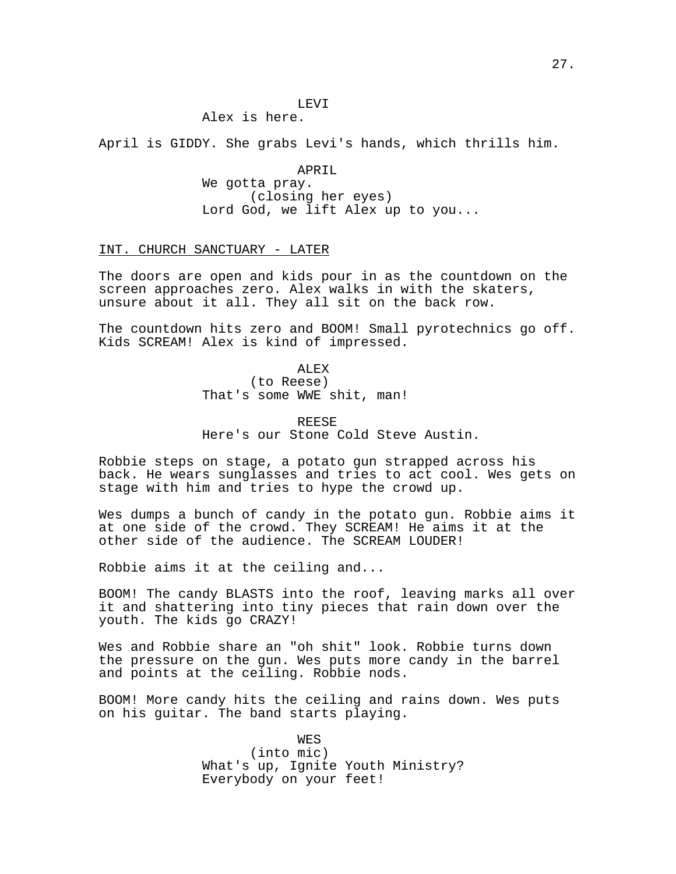# Alex is here.

April is GIDDY. She grabs Levi's hands, which thrills him.

APRIL We gotta pray. (closing her eyes) Lord God, we lift Alex up to you...

## INT. CHURCH SANCTUARY - LATER

The doors are open and kids pour in as the countdown on the screen approaches zero. Alex walks in with the skaters, unsure about it all. They all sit on the back row.

The countdown hits zero and BOOM! Small pyrotechnics go off. Kids SCREAM! Alex is kind of impressed.

> ALEX (to Reese) That's some WWE shit, man!

REESE Here's our Stone Cold Steve Austin.

Robbie steps on stage, a potato gun strapped across his back. He wears sunglasses and tries to act cool. Wes gets on stage with him and tries to hype the crowd up.

Wes dumps a bunch of candy in the potato gun. Robbie aims it at one side of the crowd. They SCREAM! He aims it at the other side of the audience. The SCREAM LOUDER!

Robbie aims it at the ceiling and...

BOOM! The candy BLASTS into the roof, leaving marks all over it and shattering into tiny pieces that rain down over the youth. The kids go CRAZY!

Wes and Robbie share an "oh shit" look. Robbie turns down the pressure on the gun. Wes puts more candy in the barrel and points at the ceiling. Robbie nods.

BOOM! More candy hits the ceiling and rains down. Wes puts on his guitar. The band starts playing.

> WES (into mic) What's up, Ignite Youth Ministry? Everybody on your feet!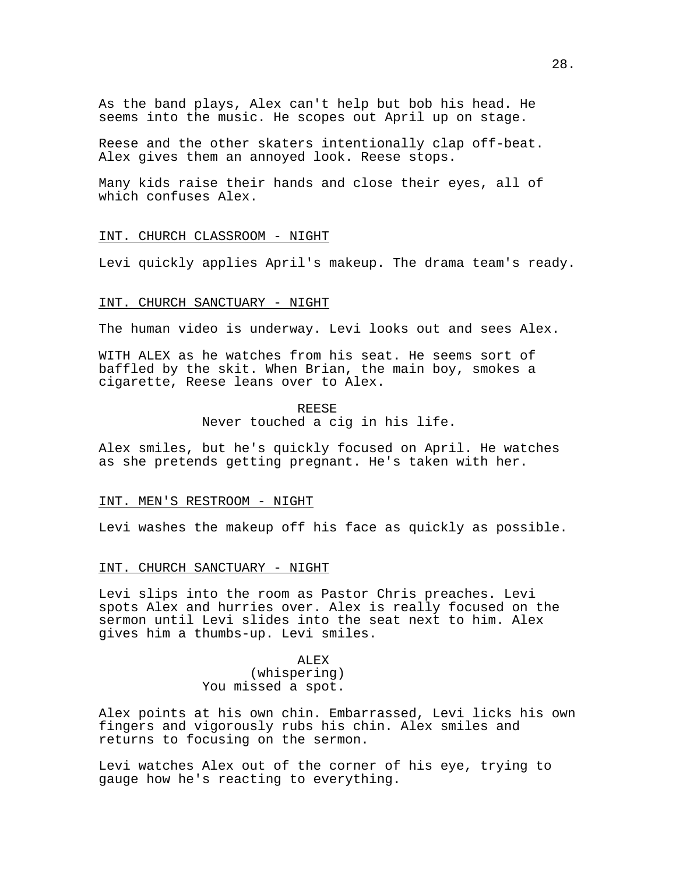As the band plays, Alex can't help but bob his head. He seems into the music. He scopes out April up on stage.

Reese and the other skaters intentionally clap off-beat. Alex gives them an annoyed look. Reese stops.

Many kids raise their hands and close their eyes, all of which confuses Alex.

## INT. CHURCH CLASSROOM - NIGHT

Levi quickly applies April's makeup. The drama team's ready.

## INT. CHURCH SANCTUARY - NIGHT

The human video is underway. Levi looks out and sees Alex.

WITH ALEX as he watches from his seat. He seems sort of baffled by the skit. When Brian, the main boy, smokes a cigarette, Reese leans over to Alex.

#### REESE

Never touched a cig in his life.

Alex smiles, but he's quickly focused on April. He watches as she pretends getting pregnant. He's taken with her.

#### INT. MEN'S RESTROOM - NIGHT

Levi washes the makeup off his face as quickly as possible.

#### INT. CHURCH SANCTUARY - NIGHT

Levi slips into the room as Pastor Chris preaches. Levi spots Alex and hurries over. Alex is really focused on the sermon until Levi slides into the seat next to him. Alex gives him a thumbs-up. Levi smiles.

# ALEX (whispering) You missed a spot.

Alex points at his own chin. Embarrassed, Levi licks his own fingers and vigorously rubs his chin. Alex smiles and returns to focusing on the sermon.

Levi watches Alex out of the corner of his eye, trying to gauge how he's reacting to everything.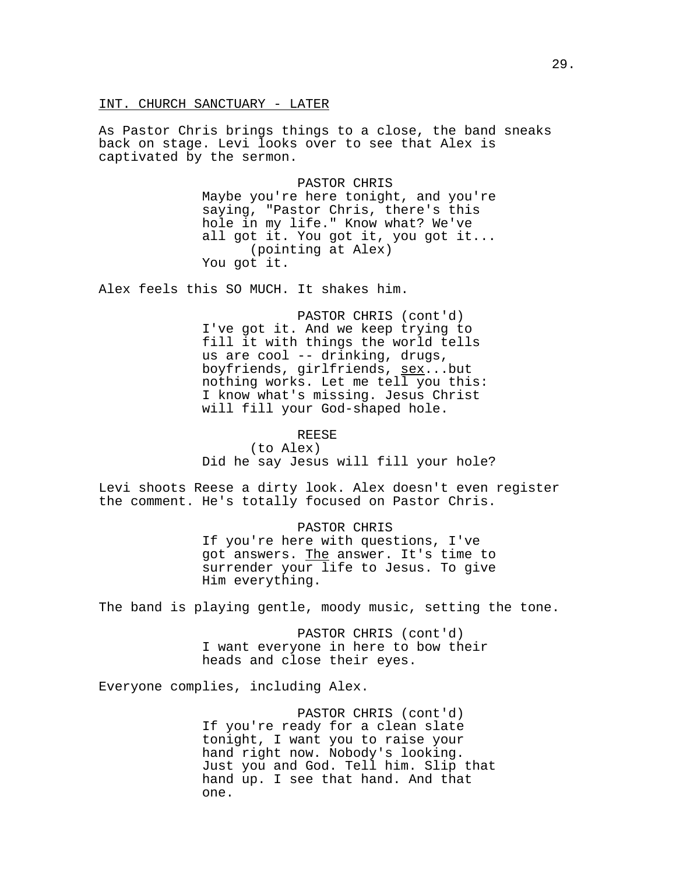INT. CHURCH SANCTUARY - LATER

As Pastor Chris brings things to a close, the band sneaks back on stage. Levi looks over to see that Alex is captivated by the sermon.

> PASTOR CHRIS Maybe you're here tonight, and you're saying, "Pastor Chris, there's this hole in my life." Know what? We've all got it. You got it, you got it... (pointing at Alex) You got it.

Alex feels this SO MUCH. It shakes him.

PASTOR CHRIS (cont'd) I've got it. And we keep trying to fill it with things the world tells us are cool -- drinking, drugs, boyfriends, girlfriends, sex...but nothing works. Let me tell you this: I know what's missing. Jesus Christ will fill your God-shaped hole.

REESE

(to Alex) Did he say Jesus will fill your hole?

Levi shoots Reese a dirty look. Alex doesn't even register the comment. He's totally focused on Pastor Chris.

## PASTOR CHRIS

If you're here with questions, I've got answers. The answer. It's time to surrender your life to Jesus. To give Him everything.

The band is playing gentle, moody music, setting the tone.

PASTOR CHRIS (cont'd) I want everyone in here to bow their heads and close their eyes.

Everyone complies, including Alex.

PASTOR CHRIS (cont'd) If you're ready for a clean slate tonight, I want you to raise your hand right now. Nobody's looking. Just you and God. Tell him. Slip that hand up. I see that hand. And that one.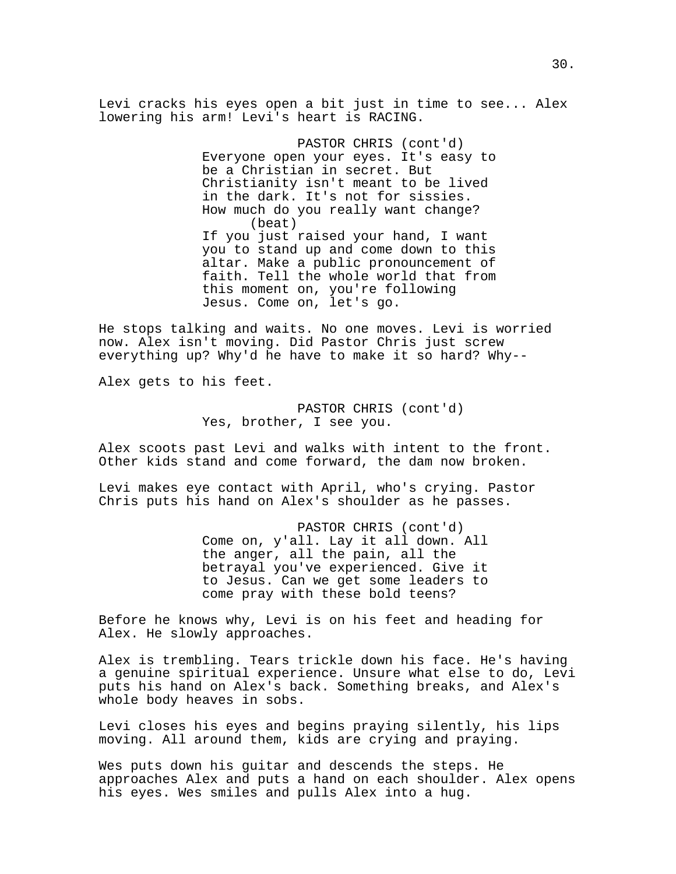Levi cracks his eyes open a bit just in time to see... Alex lowering his arm! Levi's heart is RACING.

> PASTOR CHRIS (cont'd) Everyone open your eyes. It's easy to be a Christian in secret. But Christianity isn't meant to be lived in the dark. It's not for sissies. How much do you really want change? (beat) If you just raised your hand, I want you to stand up and come down to this altar. Make a public pronouncement of faith. Tell the whole world that from this moment on, you're following Jesus. Come on, let's go.

He stops talking and waits. No one moves. Levi is worried now. Alex isn't moving. Did Pastor Chris just screw everything up? Why'd he have to make it so hard? Why--

Alex gets to his feet.

PASTOR CHRIS (cont'd) Yes, brother, I see you.

Alex scoots past Levi and walks with intent to the front. Other kids stand and come forward, the dam now broken.

Levi makes eye contact with April, who's crying. Pastor Chris puts his hand on Alex's shoulder as he passes.

> PASTOR CHRIS (cont'd) Come on, y'all. Lay it all down. All the anger, all the pain, all the betrayal you've experienced. Give it to Jesus. Can we get some leaders to come pray with these bold teens?

Before he knows why, Levi is on his feet and heading for Alex. He slowly approaches.

Alex is trembling. Tears trickle down his face. He's having a genuine spiritual experience. Unsure what else to do, Levi puts his hand on Alex's back. Something breaks, and Alex's whole body heaves in sobs.

Levi closes his eyes and begins praying silently, his lips moving. All around them, kids are crying and praying.

Wes puts down his guitar and descends the steps. He approaches Alex and puts a hand on each shoulder. Alex opens his eyes. Wes smiles and pulls Alex into a hug.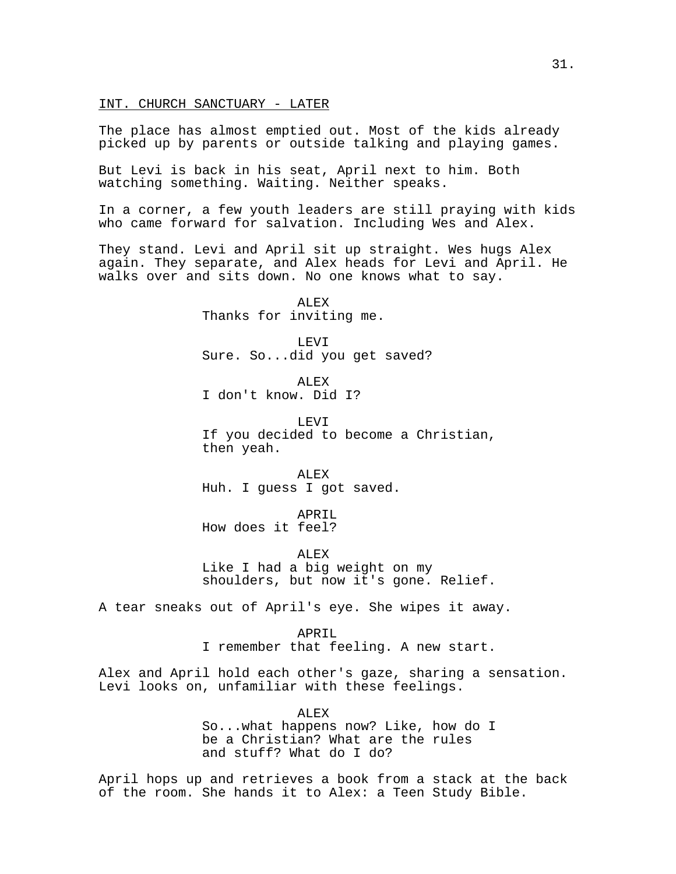### INT. CHURCH SANCTUARY - LATER

The place has almost emptied out. Most of the kids already picked up by parents or outside talking and playing games.

But Levi is back in his seat, April next to him. Both watching something. Waiting. Neither speaks.

In a corner, a few youth leaders are still praying with kids who came forward for salvation. Including Wes and Alex.

They stand. Levi and April sit up straight. Wes hugs Alex again. They separate, and Alex heads for Levi and April. He walks over and sits down. No one knows what to say.

> ALEX Thanks for inviting me.

LEVI Sure. So...did you get saved?

ALEX I don't know. Did I?

LEVI If you decided to become a Christian, then yeah.

ALEX Huh. I guess I got saved.

APRIL How does it feel?

ALEX Like I had a big weight on my shoulders, but now it's gone. Relief.

A tear sneaks out of April's eye. She wipes it away.

APRIL I remember that feeling. A new start.

Alex and April hold each other's gaze, sharing a sensation. Levi looks on, unfamiliar with these feelings.

> ALEX So...what happens now? Like, how do I be a Christian? What are the rules and stuff? What do I do?

April hops up and retrieves a book from a stack at the back of the room. She hands it to Alex: a Teen Study Bible.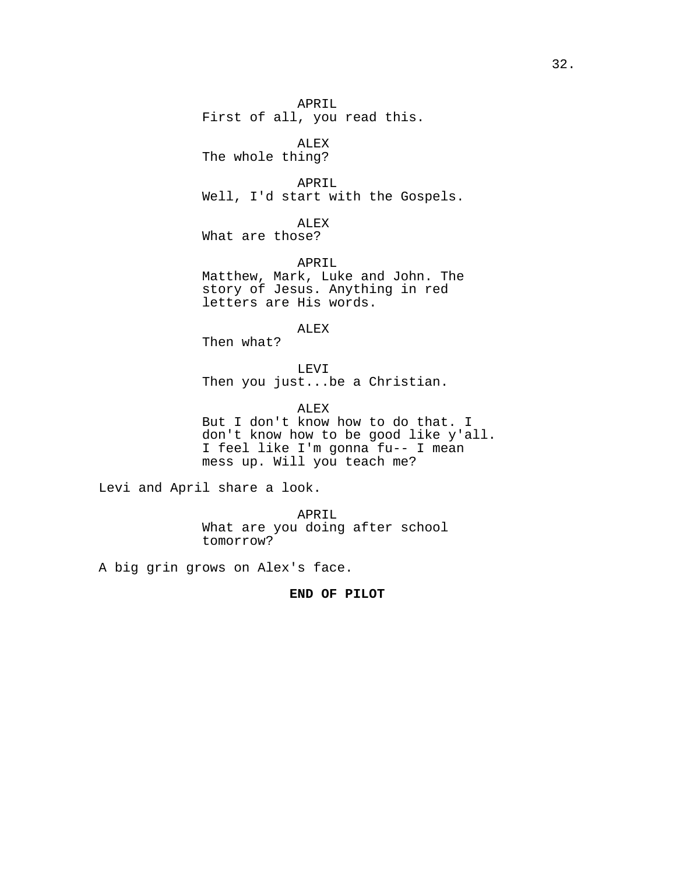APRIL First of all, you read this.

ALEX The whole thing?

APRIL Well, I'd start with the Gospels.

ALEX What are those?

APRIL Matthew, Mark, Luke and John. The story of Jesus. Anything in red letters are His words.

ALEX

Then what?

LEVI Then you just...be a Christian.

ALEX But I don't know how to do that. I don't know how to be good like y'all. I feel like I'm gonna fu-- I mean mess up. Will you teach me?

Levi and April share a look.

APRIL What are you doing after school tomorrow?

A big grin grows on Alex's face.

**END OF PILOT**